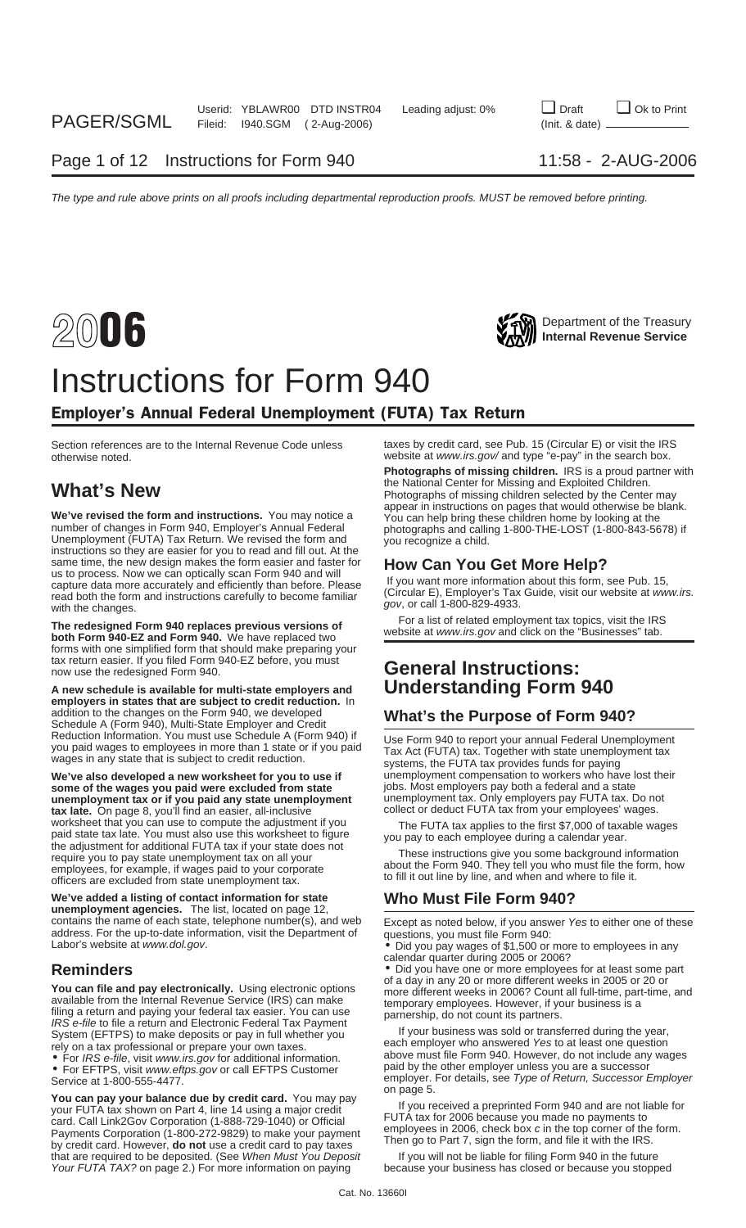## Instructions for Form 940

## Employer's Annual Federal Unemployment (FUTA) Tax Return

Section references are to the Internal Revenue Code unless taxes by credit card, see Pub. 15 (Circular E) or visit the IRS<br>otherwise noted. website at www.irs.gov/ and type "e-pay" in the search box.

We've revised the form and instructions. You may notice a<br>number of changes in Form 940, Employer's Annual Federal<br>Unemployment (FUTA) Tax Return. We revised the form and<br>instructions so they are easier for you to read and same time, the new design makes the form easier and faster for<br>us to process. Now we can optically scan Form 940 and will<br>capture data more accurately and efficiently than before. Please<br>read both the form and instruction

The redesigned Form 940 replaces previous versions of<br>both Form 940-EZ and Form 940. We have replaced two<br>Depressite at www.irs.gov and click on the "Businesses" tab. forms with one simplified form that should make preparing your tax return easier. If you filed Form 940-EZ before, you must now use the redesigned Form 940.

**A new schedule is available for multi-state employers and Understanding Form 940 employers in states that are subject to credit reduction.** In addition to the changes on the Form 940, we developed<br>Schedule A (Form 940), Multi-State Employer and Credit<br>Reduction Information. You must use Schedule A (Form 940) if<br>Lise Form 940 to report your appulal Eederal Uperm

**We've also developed a new worksheet for you to use if** unemployment compensation to workers who have lost their some of the wages you paid were excluded from state jobs. Most employers pay both a federal and a state **some of the wages you paid were excluded from state** jobs. Most employers pay both a federal and a state<br> **unemployment tax or if you paid any state unemployment** unemployment tax. Only employers pay FUTA tax. Do not **unemployment tax or if you paid any state unemployment** unemployment tax. Only employers pay FUTA tax. Do not a<br>tax late. On page 8, you'll find an easier, all-inclusive sure on the collect or deduct FUTA tax from your em tax late. On page 8, you'll find an easier, all-inclusive worksheet that you can use to compute the adjustment if you The FUTA tax applies to the first \$7,000 of taxable wages<br>paid state tax late. You must also use this worksheet to figure<br>the adjustment for additional FUTA tax i officers are excluded from state unemployment tax.

**We've added a listing of contact information for state Who Must File Form 940? unemployment agencies.** The list, located on page 12, contains the name of each state, telephone number(s), and web<br>address. For the up-to-date information, visit the Department of guestions, you must file Form 940; address. For the up-to-date information, visit the Department of questions, you must file Form 940: Labor's website at www.dol.gov. • Did you pay wages of \$1,500 or more to employees in any

You can file and pay electronically. Using electronic options<br>available from the Internal Revenue Service (IRS) can make<br>filing a return and paying your federal tax easier. You can use<br>IRS e-file to file a return and Elec System (EFTPS) to make deposits or pay in full whether you If your business was sold or transferred during the year,<br>Felv on a tax professional or prepare your own taxes each employer who answered Yes to at least one quest

• For EFTPS, visit www.eftps.gov or call EFTPS Customer<br>Service at 1-800-555-4477.

**FOR A Properties A Properties Controlled Form Source Intervalsing a major credit card.** You may pay<br>your FUTA tax shown on Part 4, line 14 using a major credit and the state of FUTA tax for 2006 because you made no paymen that are required to be deposited. (See When Must You Deposit If you will not be liable for filing Form 940 in the future Your FUTA TAX? on page 2.) For more information on paying because your business has closed or because you stopped

website at www.irs.gov/ and type "e-pay" in the search box.

**Photographs of missing children.** IRS is a proud partner with the National Center for Missing and Exploited Children. **What's New What's New Photographs of missing children selected by the Center may** Photographs of missing children selected by the Center may

# **General Instructions:**

Reduction Information. You must use Schedule A (Form 940) if<br>you paid wages to employees in more than 1 state or if you paid<br>wages in any state that is subject to credit reduction.<br>systems, the FUTA tax provides funds for

about the Form 940. They tell you who must file the form, how to fill it out line by line, and when and where to file it.

calendar quarter during 2005 or 2006?

**Reminders** • Did you have one or more employees for at least some part<br>
in the contract of a day in any 20 or more different weeks in 2005 or 20 or

rely on a tax professional or prepare your own taxes.<br>• For IRS e-file, visit www.irs.gov for additional information. above must file Form 940. However, do not include any wages<br>• For FFTPS, visit www.eftns.gov.or.call FFT employer. For details, see Type of Return, Successor Employer<br>on page 5.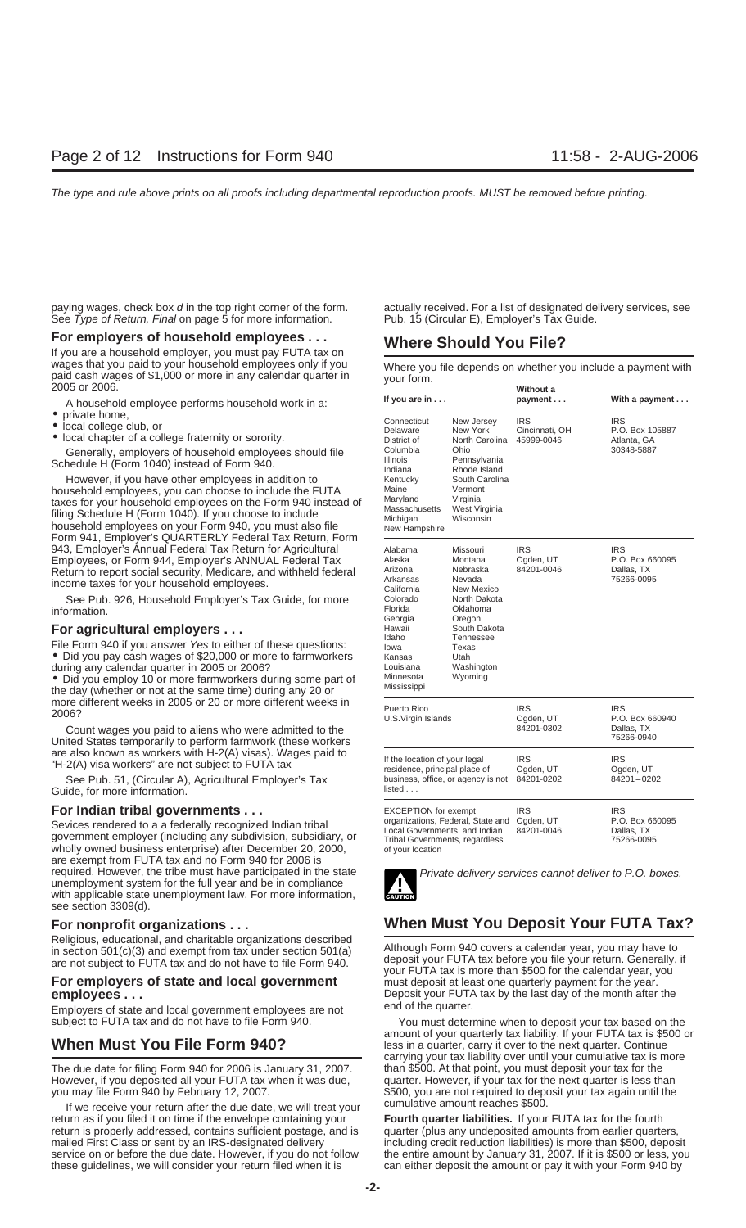See Type of Return, Final on page 5 for more information. Pub. 15 (Circular E), Employer's Tax Guide.

## **For employers of household employees . . . <br>If you are a household employer, you must pay FUTA tax on <b>Where Should You File?**

wages that you paid to your household employees only if you Where you file depends on whether you include a payment with paid cash wages of \$1,000 or more in any calendar quarter in your form.<br>2005 or 2006. **Without a** 

A household employee performs household work in a:

- 
- 
- private home,<br>• local college club, or<br>• local chapter of a college fraternity or sorority.

Generally, employers of household employees should file Schedule H (Form 1040) instead of Form 940.

However, if you have other employees in addition to household employees, you can choose to include the FUTA taxes for your household employees on the Form 940 instead of filing Schedule H (Form 1040). If you choose to include household employees on your Form 940, you must also file Form 941, Employer's QUARTERLY Federal Tax Return, Form 943, Employer's Annual Federal Tax Return for Agricultural Employees, or Form 944, Employer's ANNUAL Federal Tax Return to report social security, Medicare, and withheld federal income taxes for your household employees.

See Pub. 926, Household Employer's Tax Guide, for more information.

### **For agricultural employers ...**

File Form 940 if you answer Yes to either of these questions: • Did you pay cash wages of \$20,000 or more to farmworkers during any calendar quarter in 2005 or 2006?

• Did you employ 10 or more farmworkers during some part of the day (whether or not at the same time) during any 20 or more different weeks in 2005 or 20 or more different weeks in <br>2006?

Count wages you paid to aliens who were admitted to the United States temporarily to perform farmwork (these workers are also known as workers with H-2(A) visas). Wages paid to "H-2(A) visa workers" are not subject to FUTA tax

See Pub. 51, (Circular A), Agricultural Employer's Tax Guide, for more information.

### **For Indian tribal governments ...**

Sevices rendered to a a federally recognized Indian tribal<br>government employer (including any subdivision, subsidiary, or wholly owned business enterprise) after December 20, 2000, of your location are exempt from FUTA tax and no Form 940 for 2006 is required. However, the tribe must have participated in the state<br>unemployment system for the full year and be in compliance with applicable state unemployment law. For more information, see section 3309(d).

## **For employers of state and local government** must deposit at least one quarterly payment for the year.

Employers of state and local government employees are not

The due date for filing Form 940 for 2006 is January 31, 2007. Than \$500. At that point, you must deposit your tax for the<br>However, if you deposited all your FUTA tax when it was due, Tuarter. However, if your tax for the However, if you deposited all your FUTA tax when it was due, you may file Form 940 by February 12, 2007.

If we receive your return after the due date, we will treat your <sup>cumulative amount reaches \$500.</sup><br>urn as if you filed it on time if the envelope containing your **Fourth quarter liabilities.** If your FUTA tax for the fourt return as if you filed it on time if the envelope containing your return is properly addressed, contains sufficient postage, and is quarter (plus any undeposited amounts from earlier quarters, mailed First Class or sent by an IRS-designated delivery including credit reduction liabilities mailed First Class or sent by an IRS-designated delivery including credit reduction liabilities) is more than \$500, deposit reduction service on or before the due date. However, if you do not follow the entire amount by Ja these guidelines, we will consider your return filed when it is can either deposit the amount or pay it with your Form 940 by

paying wages, check box d in the top right corner of the form. actually received. For a list of designated delivery services, see

| If you are in                                                                                                                                                          |                                                                                                                                                                      | Without a<br>payment                       | With a payment                                            |
|------------------------------------------------------------------------------------------------------------------------------------------------------------------------|----------------------------------------------------------------------------------------------------------------------------------------------------------------------|--------------------------------------------|-----------------------------------------------------------|
| Connecticut<br>Delaware<br>District of<br>Columbia<br>Illinois<br>Indiana<br>Kentucky<br>Maine<br>Maryland<br>Massachusetts<br>Michigan<br>New Hampshire               | New Jersey<br>New York<br>North Carolina<br>Ohio<br>Pennsylvania<br>Rhode Island<br>South Carolina<br>Vermont<br>Virginia<br>West Virginia<br>Wisconsin              | <b>IRS</b><br>Cincinnati, OH<br>45999-0046 | IRS<br>P.O. Box 105887<br>Atlanta, GA<br>30348-5887       |
| Alabama<br>Alaska<br>Arizona<br>Arkansas<br>California<br>Colorado<br>Florida<br>Georgia<br>Hawaii<br>Idaho<br>lowa<br>Kansas<br>Louisiana<br>Minnesota<br>Mississippi | Missouri<br>Montana<br>Nebraska<br>Nevada<br>New Mexico<br>North Dakota<br>Oklahoma<br>Oregon<br>South Dakota<br>Tennessee<br>Texas<br>Utah<br>Washington<br>Wyoming | <b>IRS</b><br>Ogden, UT<br>84201-0046      | <b>IRS</b><br>P.O. Box 660095<br>Dallas, TX<br>75266-0095 |
| Puerto Rico<br>U.S.Virgin Islands                                                                                                                                      |                                                                                                                                                                      | <b>IRS</b><br>Ogden, UT<br>84201-0302      | <b>IRS</b><br>P.O. Box 660940<br>Dallas, TX<br>75266-0940 |
| If the location of your legal<br>residence, principal place of<br>business, office, or agency is not<br>listed                                                         |                                                                                                                                                                      | <b>IRS</b><br>Ogden, UT<br>84201-0202      | IRS<br>Ogden, UT<br>84201-0202                            |
| <b>EXCEPTION for exempt</b><br>organizations, Federal, State and<br>Local Governments, and Indian<br>Tribal Governments, regardless                                    |                                                                                                                                                                      | <b>IRS</b><br>Ogden, UT<br>84201-0046      | IRS<br>P.O. Box 660095<br>Dallas, TX<br>75266-0095        |



## **For nonprofit organizations . . . When Must You Deposit Your FUTA Tax?**

Religious, educational, and charitable organizations described<br>
in section 501(c)(3) and exempt from tax under section 501(a)<br>
are not subject to FUTA tax and do not have to file Form 940.<br>
your FUTA tax is more than \$500 **employees** . . .<br> **Employees . . .** Deposit your FUTA tax by the last day of the month after the end of the quarter.

subject to FUTA tax and do not have to file Form 940. You must determine when to deposit your tax based on the amount of your quarterly tax liability. If your FUTA tax is \$500 or **When Must You File Form 940?** Less in a quarter, carry it over to the next quarter. Continue carrying your tax liability over until your cumulative tax is more \$500, you are not required to deposit your tax again until the

the entire amount by January 31, 2007. If it is \$500 or less, you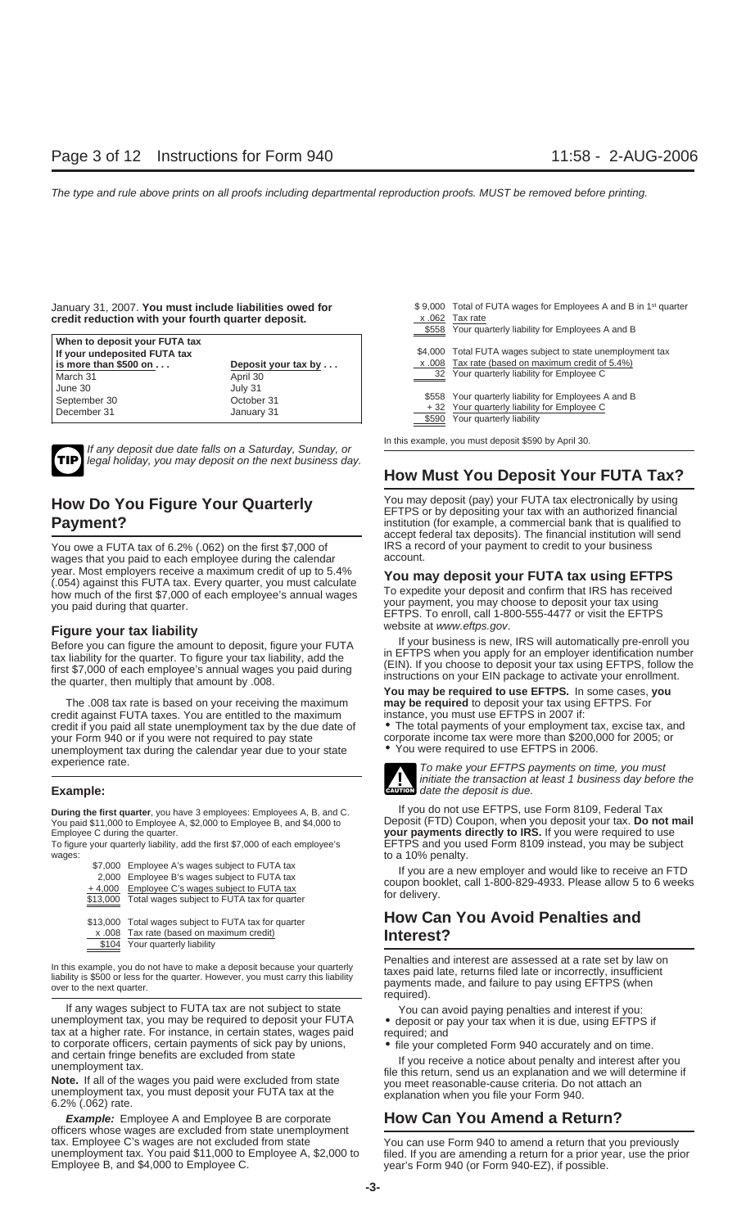### January 31, 2007. You must include liabilities owed for credit reduction with your fourth quarter deposit.

| When to deposit your FUTA tax         |                       |         |                                                                               |
|---------------------------------------|-----------------------|---------|-------------------------------------------------------------------------------|
| If your undeposited FUTA tax          |                       | \$4.000 | Total FUTA wages subject to state unemployment tax                            |
| $\vert$ is more than \$500 on $\dots$ | Deposit your tax by   |         | x .008 Tax rate (based on maximum credit of 5.4%)                             |
| March 31                              | April 30              | 32      | Your quarterly liability for Employee C                                       |
| June 30<br>September 30               | July 31<br>October 31 |         | \$558 Your quarterly liability for Employees A and B                          |
| December 31                           | January 31            |         | +32 Your quarterly liability for Employee C<br>\$590 Your quarterly liability |



If any deposit due date falls on a Saturday, Sunday, or legal holiday, you may deposit on the next business day.

You owe a FUTA tax of 6.2% (.062) on the first \$7,000 of IRS a represent to your paid to each employee during the calendar wages that you paid to each employee during the calendar year. Most employers receive a maximum credit of up to 5.4%<br>
(.054) against this FUTA tax. Every quarter, you must calculate<br>
how much of the first \$7,000 of each employee's annual wages<br>
you paid during that quarter.<br>
you

The .008 tax rate is based on your receiving the maximum **may be required** to deposit your tax using EFTPS. For credit against FUTA taxes. You are entitled to the maximum instance, you must use EFTPS in 2007 if:<br>credit if you paid all state unemployment tax by the due date of **o** The total payments of your employment tax, excise tax credit if you paid all state unemployment tax by the due date of your Form 940 or if you were not required to pay state unemployment tax during the calendar year due to your state experience rate.

to a 10% penalty.<br>\$7,000 Employee A's wages subject to FUTA tax the state of the state of the state of a new

| \$13,000 Total wages subject to FUTA tax for quarter | <b>How Can</b> |
|------------------------------------------------------|----------------|
| x .008 Tax rate (based on maximum credit)            | Interest?      |
| \$104 Your quarterly liability                       |                |

If any wages subject to FUTA tax are not subject to state unemployment tax, you may be required to deposit your FUTA<br>
tax at a higher rate. For instance, in certain states, wages paid<br>
to corporate officers, certain paymen

**Example:** Employee A and Employee B are corporate **How Can You Amend a Return?** officers whose wages are excluded from state unemployment tax. Employee C's wages are not excluded from state unemployment tax. You paid \$11,000 to Employee A, \$2,000 to filed. If you are amending a return for a prior year, use the prior Employee B, and \$4,000 to Employee C.

|       | \$9,000 Total of FUTA wages for Employees A and B in 1 <sup>st</sup> quarter |
|-------|------------------------------------------------------------------------------|
|       | x .062 Tax rate                                                              |
| \$558 | Your quarterly liability for Employees A and B                               |
|       |                                                                              |
|       | \$4,000 Total FUTA wages subject to state unemployment tax                   |
|       | x .008 Tax rate (based on maximum credit of 5.4%)                            |
|       | 32 Your quarterly liability for Employee C                                   |
|       |                                                                              |
|       | \$558 Your quarterly liability for Employees A and B                         |
|       | +32 Your quarterly liability for Employee C                                  |
| \$590 | Your quarterly liability                                                     |
|       |                                                                              |

In this example, you must deposit \$590 by April 30.

## **How Must You Deposit Your FUTA Tax?**

**How Do You Figure Your Quarterly**<br> **Payment?** Payment? **EFTPS** or by depositing your tax with an authorized financial<br>
institution (for example, a commercial bank that is qualified to institution (for example, a commercial bank that is qualified to accept federal tax deposits). The financial institution will send

Figure your tax liability<br>Before you can figure the amount to deposit, figure your FUTA<br>tax liability for the quarter. To figure your tax liability, add the<br>first \$7,000 of each employee's annual wages you paid during<br>the

corporate income tax were more than \$200,000 for 2005; or<br>• You were required to use EFTPS in 2006.



initiate the transaction at least 1 business day before the **Example:**<br> **Example:**<br> **Example: CAUTION** date the deposit is due.

**During the first quarter**, you have 3 employees: Employees A, B, and C. **If you do not use EFTPS, use Form 8109, Federal Tax**<br>You paid \$11,000 to Employee A, \$2,000 to Employee B, and \$4,000 to **Deposit (FTD) Coupon, when** You paid \$11,000 to Employee A, \$2,000 to Employee B, and \$4,000 to Deposit (FTD) Coupon, when you deposit your tax. **Do not mail** your payments directly to IRS. If you were required to use To figure your quarterly liability, add the first \$7,000 of each employee's EFTPS and you used Form 8109 instead, you may be subject wages:<br>
to a 10% penalty.

\$7,000 Employee A's wages subject to FUTA tax<br>2,000 Employee B's wages subject to FUTA tax<br>4,000 Employee C's wages subject to FUTA tax<br>3,13,000 Total wages subject to FUTA tax for quarter for delivery.

## **How Can You Avoid Penalties and**

In this example, you do not have to make a deposit because your quarterly<br>liability is \$500 or less for the quarter. However, you must carry this liability<br>over to the next quarter.<br>over to the next quarter.<br>over to the ne

You can use Form 940 to amend a return that you previously year's Form 940 (or Form 940-EZ), if possible.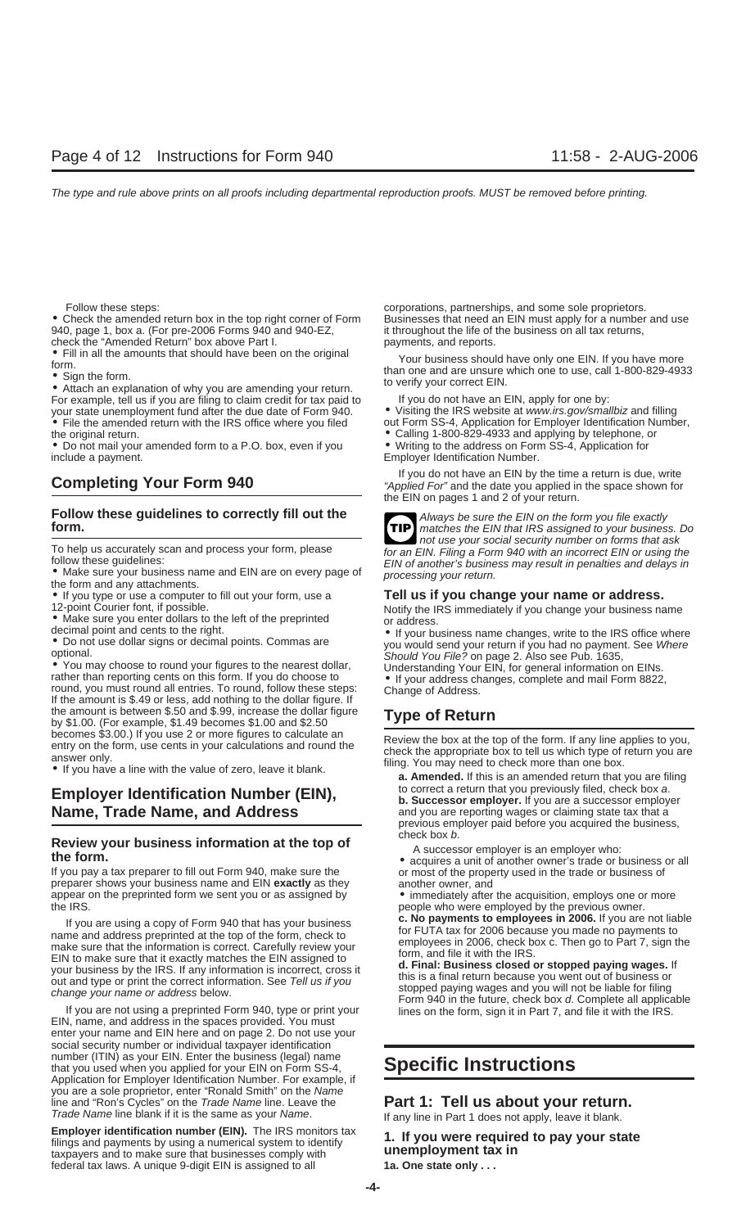940, page 1, box a. (For pre-2006 Forms  $940$  and  $940$ -EZ,

check the "Amended Return" box above Part I. payments, and reports.

For example, tell us if you are filing to claim credit for tax paid to If you do not have an EIN, apply for one by:<br>your state unemployment fund after the due date of Form 940. <br>Visiting the IRS website at *www.irs.gov/sma* your state unemployment fund after the due date of Form 940.<br>• File the amended return with the IRS office where you filed

• Do not mail your amended form to a P.O. box, even if you include a payment. Employer Identification Number.

## **Follow these guidelines to correctly fill out the** Always be sure the EIN on the form you file exactly **form. form form form form. h form form form form form form form form form form form**

• If you type or use a computer to fill out your form, use a **Tell us if you change your name or address.**

• You may choose to round your figures to the nearest dollar,<br>
The Understanding Your EIN, for general information on EINs.<br>
The IN, for general information on EINs.<br>
The amount is \$.49 or less, add nothing to the dollar f the amount is between \$.50 and \$.99, increase the dollar figure **Type of Return** by \$1.00. (For example, \$1.49 becomes \$1.00 and \$2.50

## **Name, Trade Name, and Address** and you are reporting wages or claiming state tax that a

## **Check box b. Review your business information at the top of A** successor employer is an employer who:<br> **the form.** • acquires a unit of another owner's trade or business or all<br>
• acquires a unit of another owner's tr

If you pay a tax preparer to fill out Form 940, make sure the or most of the property used in the trade or business of preparer shows your business name and EIN exactly as they another owner, and preparer shows your business name and EIN **exactly** as they appear on the preprinted form we sent you or as assigned by  $\bullet$  immediately after the acquisition, employs one or more the IRS.

If you are using a copy of Form 940 that has your business<br>
in 2006. If you are not liable<br>
make sure that the information is correct. Carefully review your<br>
EIN to make sure that it exactly matches the EIN assigned to<br>
yo

If you are not using a preprinted Form 940, type or print your lines on the form, sign it in Part 7, and file it with the IRS. EIN, name, and address in the spaces provided. You must enter your name and EIN here and on page 2. Do not use your social security number or individual taxpayer identification number (ITIN) as your EIN. Enter the business (legal) name that you used when you applied for your EIN on Form SS-4, **Specific Instructions** Application for Employer Identification Number. For example, if you are a sole proprietor, enter "Ronald Smith" on the Name line and "Ron's Cycles" on the *Trade Name* line. Leave the **Part 1: Tell us about your return.**<br>Trade Name line blank if it is the same as your Name. If any line in Part 1 does not apply, leave it blank.

**Employer identification number (EIN).** The IRS monitors tax  $\begin{array}{ccc} 1. & \text{If you were required to pay your state} \\ \text{filings and payments by using a numerical system to identify \end{array}$  **1. If you were required to pay your state** federal tax laws. A unique 9-digit EIN is assigned to all **1a. One state only . . .**

Follow these steps: corporations, partnerships, and some sole proprietors. • Check the amended return box in the top right corner of Form Businesses that need an EIN must apply for a number and use 940, page 1, box a. (For pre-2006 Forms 940 and 940-EZ, it throughout the life of the business on a

• Fill in all the amounts that should have been on the original<br>
torm than one and are unsure which one to use, call 1-800-829-4933<br>
• Attach an explanation of why you are amending your return.<br>
For example, tell us if you

out Form SS-4, Application for Employer Identification Number, the original return.<br>
• Calling 1-800-829-4933 and applying by telephone, or<br>
• Writing to the address on Form SS-4, Application for<br>
• Writing to the address on Form SS-4, Application for

If you do not have an EIN by the time a return is due, write<br>
"Applied For" and the date you applied in the space shown for the EIN on pages 1 and 2 of your return.

**TIP**

not use your social security number on forms that ask for an EIN. Filing a Form 940 with an incorrect EIN or using the To help us accurately scan and process your form, please<br>for an EIN. Filing a Form 940 with an incorrect EIN or using the<br>follow these guidelines:<br>• Make sure your business name and EIN are on every page of<br>the form and an

12-point Courier font, if possible.<br>
• Make sure you enter dollars to the left of the preprinted <br>
• If your business name changes, write to the IRS office when<br>
• If your business name changes, write to the IRS office whe

decimal point and cents to the right.<br>
• Do not use dollar signs or decimal points. Commas are • vou would send your return if you had no payment. See Where<br>
• Should You File? on page 2. Also see Pub. 1635,

becomes \$3.00.) If you use 2 or more figures to calculate an<br>entry on the form, use cents in your calculations and round the<br>answer only.<br>If you have a line with the value of zero, leave it blank.<br>a. **Amended.** If this is

**Employer Identification Number (EIN),** by the correct a return that you previously filed, check box a. **b. Successor employer** If you are a successor employer previous employer paid before you acquired the business,

people who were employed by the previous owner.<br>c. No payments to employees in 2006. If you are not liable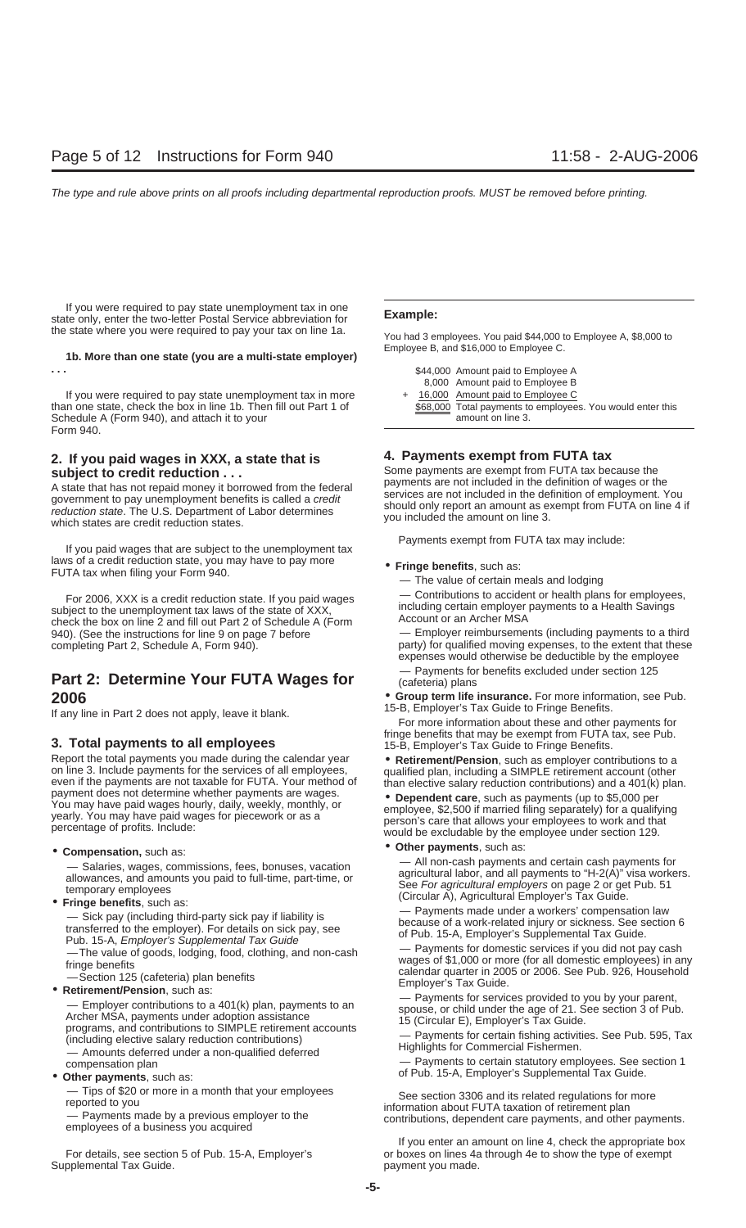If you were required to pay state unemployment tax in one **Example:** state only, enter the two-letter Postal Service abbreviation for the state where you were required to pay your tax on line 1a. You had 3 employees. You paid \$44,000 to Employee A, \$8,000 to

## Employee B, and \$16,000 to Employee C. **1b. More than one state (you are a multi-state employer)**

If you were required to pay state unemployment tax in more than one state, check the box in line 1b. Then fill out Part 1 of Schedule A (Form 940), and attach it to your Form 940.

## **4. Payments exempt from FUTA tax 2. If you paid wages in XXX, a state that is**

A state that has not repaid money it borrowed from the federal<br>government to pay unemployment benefits is called a *credit*<br>reduction state. The U.S. Department of Labor determines<br>which states are credit reduction states.

Payments exempt from FUTA tax may include: If you paid wages that are subject to the unemployment tax laws of a credit reduction state, you may have to pay more • **Fringe benefits**, such as: FUTA tax when filing your Form 940. — The value of certain meals and lodging

For 2006, XXX is a credit reduction state. If you paid wages  $\longrightarrow$  Contributions to accident or health plans for employees, subject to the unemployment tax laws of the state of XXX,<br>
check the box on line 2 and fill out Par 940). (See the instructions for line 9 on page 7 before <br>
completing Part 2, Schedule A, Form 940). <br>
party) for qualified moving expenses, to the extent that these

Neport the total payments you made during the calendar year **Conserver Conserver Conserver** on line 3. Include payments for the services of all employees,<br>
even if the payments are not taxable for FUTA. Your method of<br>
pay

allowances, and amounts you paid to full-time, part-time, or<br> **allowances** and amounts you paid to full-time, part-time, or<br> **e** For agricultural employers on page 2 or get Pub. 51<br> **e For agricultural employers on page 2** 

Frige benefits<br>
- Section 125 (cafeteria) plan benefits<br>
- Section 125 (cafeteria) plan benefits<br>
- Employer contributions to a 401(k) plan, payments to an<br>
- Employer's Tax Guide.<br>
- Employer contributions to a 401(k) pla Amounts deferred under a non-qualified deferred<br>compensation plan — Payments to certain statutory employees. See section 1

Supplemental Tax Guide. **payment you made.** payment you made.

| .                                                                 | \$44,000 Amount paid to Employee A                         |
|-------------------------------------------------------------------|------------------------------------------------------------|
|                                                                   | 8,000 Amount paid to Employee B                            |
| If you were required to pay state unemployment tax in more        | + 16,000 Amount paid to Employee C                         |
| than one state, check the box in line 1b. Then fill out Part 1 of | \$68,000 Total payments to employees. You would enter this |
| Schedule A (Form 940), and attach it to your                      | amount on line 3.                                          |
|                                                                   |                                                            |

**subject to credit reduction ...**<br>A state that has not repaid money it borrowed from the federal payments are not included in the definition of wages or the

- -

party) for qualified moving expenses, to the extent that these expenses would otherwise be deductible by the employee **Part 2: Determine Your FUTA Wages for**  $\frac{}{}$   $\frac{}{}$  Payments for benefits excluded under section 125

**2006** • **Group term life insurance.** For more information, see Pub.<br>If any line in Part 2 does not annly Jeave it blank **15-B**, Employer's Tax Guide to Fringe Benefits.

If any line in Part 2 does not apply, leave it blank.<br>For more information about these and other payments for **3. Total payments to all employees 15-B** fringe benefits that may be exempt from FUTA tax, see Pub.<br>15-B, Employer's Tax Guide to Fringe Benefits.

• **Compensation**, such as:<br>• **Other payments**, such as:<br>• All non-cash payments and certain cash payments for<br>• All non-cash payments and certain cash payments for — Salaries, wages, commissions, fees, bonuses, vacation — All non-cash payments and certain cash payments for<br>allowances, and amounts you paid to full-time, part-time, or agricultural labor, and all payments to "H-2(A)" vi

Pub. 15-A, Employer's Supplemental Tax Guide<br>
—The value of goods, lodging, food, clothing, and non-cash — Payments for domestic services if you did not pay cash<br>
fringe benefits<br>
fringe benefits

of Pub. 15-A, Employer's Supplemental Tax Guide. • **Other payments**, such as:

- Tips of \$20 or more in a month that your employees<br>reported to you<br>- Payments made by a previous employer to the<br>employees of a business you acquired<br>employees of a business you acquired<br>employees of a business you acqui

If you enter an amount on line 4, check the appropriate box For details, see section 5 of Pub. 15-A, Employer's or boxes on lines 4a through 4e to show the type of exempt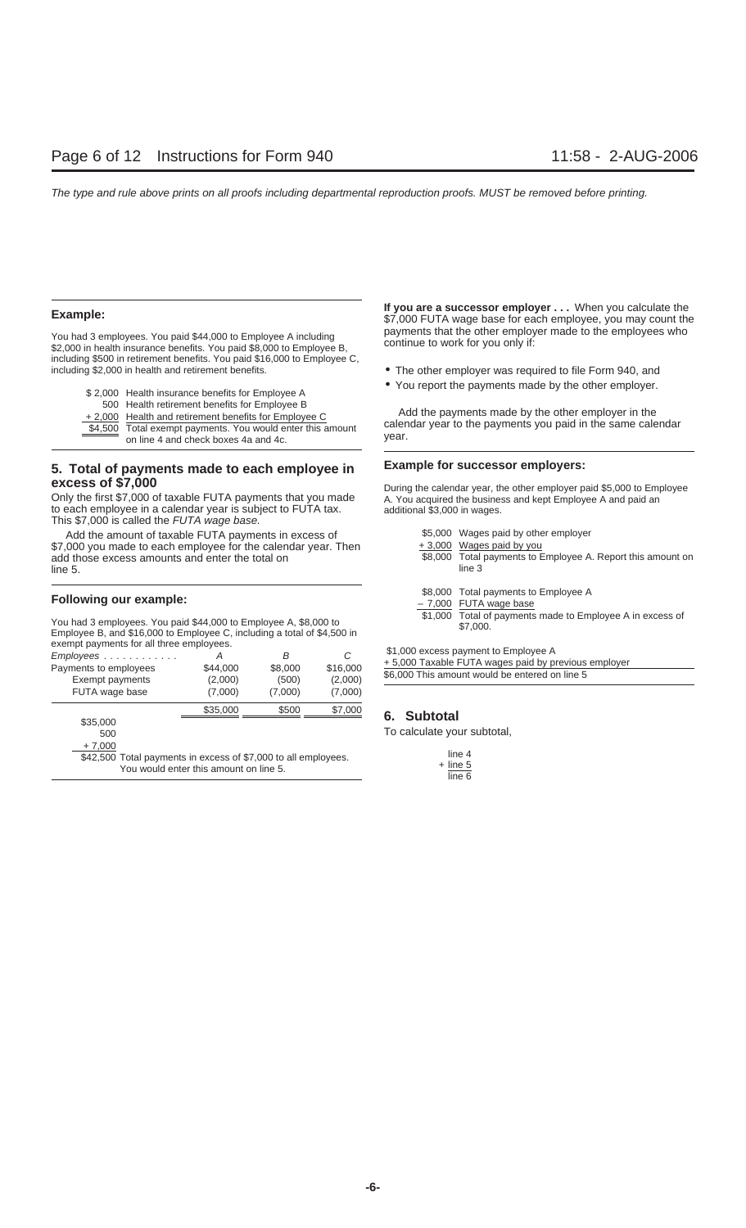including \$500 in retirement benefits. You paid \$16,000 to Employee C, including \$2,000 in health and retirement benefits. • The other employer was required to file Form 940, and

| \$2,000 Health insurance benefits for Employee A     |
|------------------------------------------------------|
| 500 Health retirement benefits for Employee B        |
| +2,000 Health and retirement benefits for Employee C |

## **Example for successor employers: 5. Total of payments made to each employee in**

to each employee in a calendar year is subject to FUTA tax. This \$7,000 is called the FUTA wage base.

Add the amount of taxable FUTA payments in excess of \$7,000 you made to each employee for the calendar year. Then add those excess amounts and enter the total on line 5. line 3

## **Following our example:**<br> $\begin{array}{r} \text{$3,000 Total payments to Employee A} \\ \text{$4,000 FUTA wage base} \end{array}$

You had 3 employees. You paid \$44,000 to Employee A, \$8,000 to \$1,000 Total of payments made to Employee A in excess of<br>Employee B, and \$16,000 to Employee C, including a total of \$4,500 in \$7,000.

| exempt payments for all three employees.                       |                                        |                       |          |                                                     |
|----------------------------------------------------------------|----------------------------------------|-----------------------|----------|-----------------------------------------------------|
| $Employees \ldots \ldots \ldots$                               | Α                                      | В                     | C        | \$1,000 excess payment to Employee A                |
| Payments to employees                                          | \$44,000                               | \$8,000               | \$16,000 | +5,000 Taxable FUTA wages paid by previous employer |
| Exempt payments                                                | (2,000)                                | (500)                 | (2,000)  | \$6,000 This amount would be entered on line 5      |
| FUTA wage base                                                 | (7,000)                                | (7,000)               | (7,000)  |                                                     |
|                                                                | \$35,000                               | \$500                 | \$7,000  | <b>Subtotal</b><br>6.                               |
| \$35,000                                                       |                                        |                       |          |                                                     |
| 500                                                            |                                        |                       |          | To calculate your subtotal,                         |
| $+7,000$                                                       |                                        |                       |          |                                                     |
| \$42,500 Total payments in excess of \$7,000 to all employees. |                                        | line 4                |          |                                                     |
|                                                                | You would enter this amount on line 5. | $+$ line 5<br>$E = 0$ |          |                                                     |

**If you are a successor employer . . .** When you calculate the **Example: Example:** *If you are a successor employer . . .* **When you calculate the <br>\$7,000 FUTA wage base for each employee, you may count the** You had 3 employees. You paid \$44,000 to Employee A including payments that the other employer made to the employees who<br>\$2,000 in health insurance benefits. You paid \$8,000 to Employee B, continue to work for you only if:

- 
- You report the payments made by the other employer.

<sup>2</sup>,000 Health and retirement benefits for Employee D<br>
<del>19,000</del> Health and retirement benefits for Employee C<br>
<del>19,500</del> Total exempt payments. You would enter this amount<br>
on line 4 and check boxes 4a and 4c.<br>
2000 Total e

**excess of \$7,000**<br>
Only the first \$7,000 of taxable FUTA payments that you made <br>
to each employee in a calendar year is subject to FUTA tax. <br>
additional \$3,000 in wages.

|                                                          | \$5,000 Wages paid by other employer                                  |
|----------------------------------------------------------|-----------------------------------------------------------------------|
|                                                          | +3,000 Wages paid by you                                              |
|                                                          | \$8,000 Total payments to Employee A. Report this amount on<br>line 3 |
| $\mathbf{A} \mathbf{A} \mathbf{A} \mathbf{A} \mathbf{A}$ |                                                                       |

- 
- -

### **6.** Subtotal

| line 4     |  |
|------------|--|
| $+$ line 5 |  |
| line 6     |  |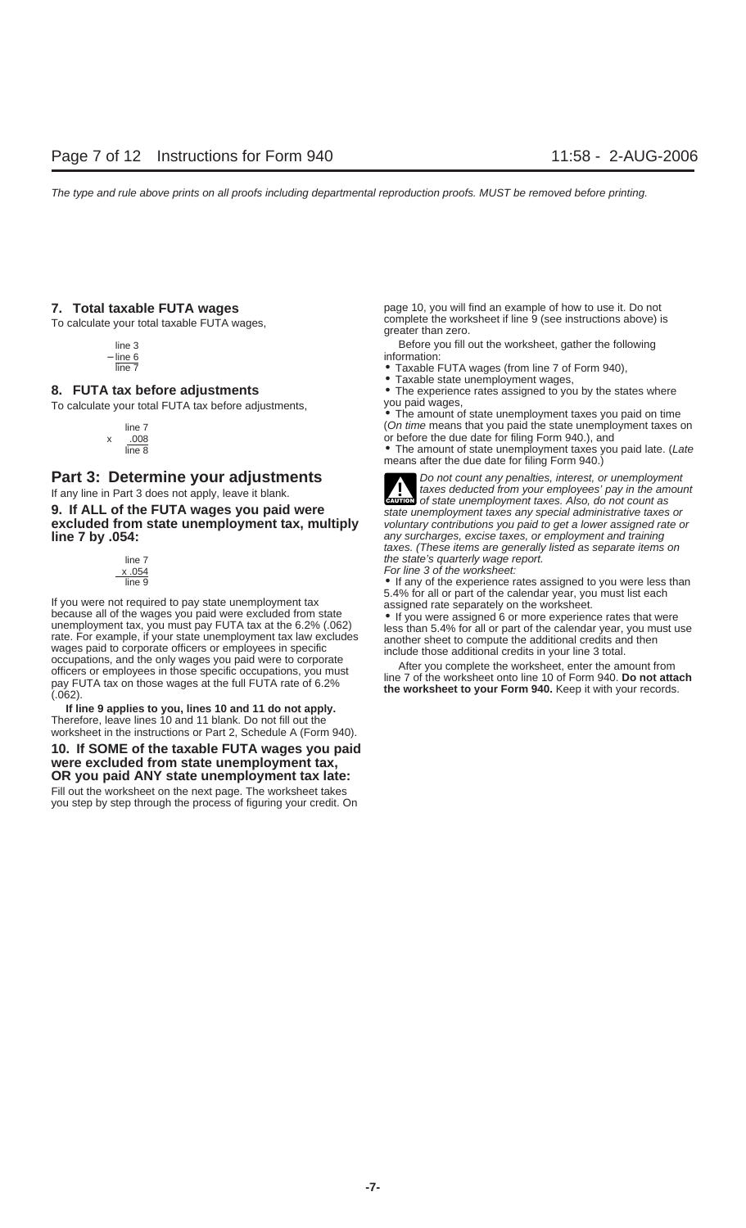To calculate your total FUTA tax before adjustments,

**9. If ALL of the FUTA wages you paid were** state unemployment taxes any special administrative taxes or **excluded from state unemployment tax, multiply** voluntary contributions you paid to get a lower assigned rate or **excluded from state unemployment tax, multiply line 7 by .054: any surcharges, excise taxes, or employment and training** 



If you were not required to pay state unemployment tax<br>because all of the wages you paid were excluded from state<br>unemployment tax, you must pay FUTA tax at the 6.2% (.062)<br>rate. For example, if your state unemployment tax

**If line 9 applies to you, lines 10 and 11 do not apply.** Therefore, leave lines 10 and 11 blank. Do not fill out the worksheet in the instructions or Part 2, Schedule A (Form 940).

### **10. If SOME of the taxable FUTA wages you paid were excluded from state unemployment tax, OR you paid ANY state unemployment tax late:**

Fill out the worksheet on the next page. The worksheet takes you step by step through the process of figuring your credit. On

**7.** Total taxable FUTA wages **page 10**, you will find an example of how to use it. Do not complete the worksheet if line 9 (see instructions above) is<br>To calculate your total taxable FUTA wages, example than zero.

line 3 Before you fill out the worksheet, gather the following − line 6 information:

- line 7 Taxable FUTA wages (from line 7 of Form 940),
	- Taxable state unemployment wages,

**8. FUTA tax before adjustments** • The experience rates assigned to you by the states where To calculate your total FUTA tax before adjustments.

• The amount of state unemployment taxes you paid on time line 7 (On time means that you paid the state unemployment taxes on x  $\frac{.008}{\text{line }8}$  or before the due date for filing Form 940.), and<br>  $\bullet$  The amount of state unemployment taxes you

• The amount of state unemployment taxes you paid late. (Late means after the due date for filing Form 940.)



**Part 3: Determine your adjustments**<br>If any line in Part 3 does not apply leave it blank<br>If any line in Part 3 does not apply leave it blank If any line in Part 3 does not apply, leave it blank. **CAUTION** days deducted from your employees' pay in the amount as **!** taxes. (These items are generally listed as separate items on line 7  $\frac{x.054}{ }$  the state's quarterly wage report.

 $\times .054$ <br> $\times .054$  For line 3 of the worksheet:

• If any of the experience rates assigned to you were less than 5.4% for all or part of the calendar year, you must list each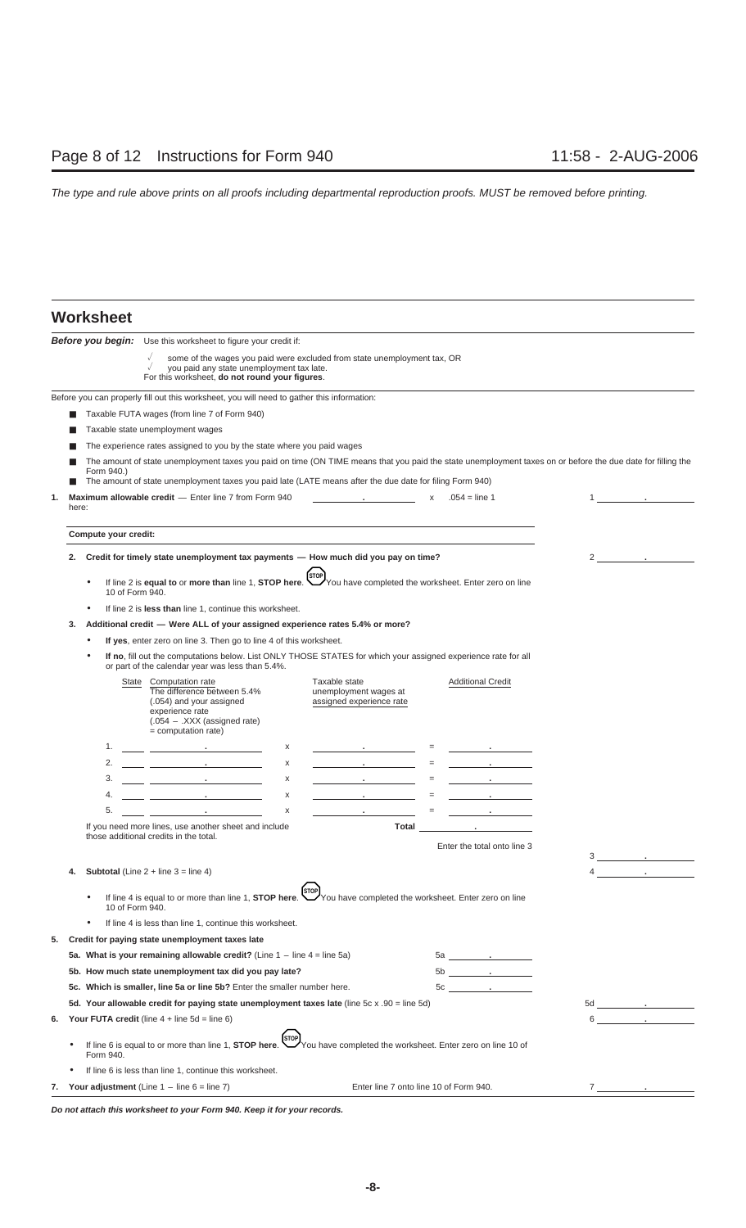### **Worksheet**

|    | <b>VIIVIIV</b>               |                                                                                                                                                                                                                                      |                                                                          |                                          |                                   |   |                                      |
|----|------------------------------|--------------------------------------------------------------------------------------------------------------------------------------------------------------------------------------------------------------------------------------|--------------------------------------------------------------------------|------------------------------------------|-----------------------------------|---|--------------------------------------|
|    |                              | <b>Before you begin:</b> Use this worksheet to figure your credit if:                                                                                                                                                                |                                                                          |                                          |                                   |   |                                      |
|    |                              | you paid any state unemployment tax late.<br>For this worksheet, do not round your figures.                                                                                                                                          | some of the wages you paid were excluded from state unemployment tax, OR |                                          |                                   |   |                                      |
|    |                              | Before you can properly fill out this worksheet, you will need to gather this information:                                                                                                                                           |                                                                          |                                          |                                   |   |                                      |
|    |                              | Taxable FUTA wages (from line 7 of Form 940)                                                                                                                                                                                         |                                                                          |                                          |                                   |   |                                      |
|    |                              | Taxable state unemployment wages                                                                                                                                                                                                     |                                                                          |                                          |                                   |   |                                      |
|    |                              | The experience rates assigned to you by the state where you paid wages                                                                                                                                                               |                                                                          |                                          |                                   |   |                                      |
|    | Form 940.)                   | The amount of state unemployment taxes you paid on time (ON TIME means that you paid the state unemployment taxes on or before the due date for filling the                                                                          |                                                                          |                                          |                                   |   |                                      |
|    |                              | The amount of state unemployment taxes you paid late (LATE means after the due date for filing Form 940)                                                                                                                             |                                                                          |                                          |                                   |   |                                      |
| 1. | here:                        | Maximum allowable credit - Enter line 7 from Form 940                                                                                                                                                                                |                                                                          | the control of the control of the        | $x = .054 = line 1$               |   | $1 \qquad \qquad . \qquad .$         |
|    | Compute your credit:         |                                                                                                                                                                                                                                      |                                                                          |                                          |                                   |   |                                      |
| 2. |                              | Credit for timely state unemployment tax payments — How much did you pay on time?                                                                                                                                                    |                                                                          |                                          |                                   |   | $2 \qquad \qquad .$                  |
|    | $\bullet$<br>10 of Form 940. | If line 2 is <b>equal to</b> or <b>more than</b> line 1, <b>STOP here</b> . You have completed the worksheet. Enter zero on line                                                                                                     |                                                                          |                                          |                                   |   |                                      |
|    |                              | If line 2 is less than line 1, continue this worksheet.                                                                                                                                                                              |                                                                          |                                          |                                   |   |                                      |
| 3. |                              | Additional credit - Were ALL of your assigned experience rates 5.4% or more?                                                                                                                                                         |                                                                          |                                          |                                   |   |                                      |
|    | $\bullet$                    | If yes, enter zero on line 3. Then go to line 4 of this worksheet.                                                                                                                                                                   |                                                                          |                                          |                                   |   |                                      |
|    |                              | If no, fill out the computations below. List ONLY THOSE STATES for which your assigned experience rate for all<br>or part of the calendar year was less than 5.4%.                                                                   |                                                                          |                                          |                                   |   |                                      |
|    |                              | State Computation rate<br>The difference between 5.4%<br>(.054) and your assigned<br>experience rate<br>$(.054 - XXX$ (assigned rate)<br>$=$ computation rate)                                                                       | Taxable state<br>unemployment wages at<br>assigned experience rate       |                                          | <b>Additional Credit</b>          |   |                                      |
|    | 1.                           |                                                                                                                                                                                                                                      | x                                                                        | the control of the control of the        | the control of the control of     |   |                                      |
|    | 2.                           | <u>and the control of the control of the control of</u>                                                                                                                                                                              | х                                                                        | the control of the control of the<br>$=$ | the control of the control of     |   |                                      |
|    | 3.                           | <u> 1980 - Antonio Alemania, prima prestava pre</u>                                                                                                                                                                                  | x                                                                        | the control of the control of the<br>$=$ | the company of the company of     |   |                                      |
|    | 4.                           | <u>and the community of the community of the community of the community of the community of the community of the community of the community of the community of the community of the community of the community of the community</u> | x                                                                        | the control of the control of the        | the company of the company        |   |                                      |
|    | 5.                           | <u> 1986 - Johann Barbara, martin a</u>                                                                                                                                                                                              | x                                                                        | <b>Contract Contract</b>                 |                                   |   |                                      |
|    |                              | If you need more lines, use another sheet and include                                                                                                                                                                                |                                                                          | Total                                    | the control of the control of the |   |                                      |
|    |                              | those additional credits in the total.                                                                                                                                                                                               |                                                                          |                                          | Enter the total onto line 3       |   |                                      |
|    |                              |                                                                                                                                                                                                                                      |                                                                          |                                          |                                   |   | $3 \qquad \qquad .$                  |
| 4. |                              | <b>Subtotal</b> (Line $2 +$ line $3 =$ line 4)                                                                                                                                                                                       |                                                                          |                                          |                                   | 4 |                                      |
|    | 10 of Form 940.              | If line 4 is equal to or more than line 1, <b>STOP here.</b> You have completed the worksheet. Enter zero on line                                                                                                                    | <b>STOP</b>                                                              |                                          |                                   |   |                                      |
|    | ٠                            | If line 4 is less than line 1, continue this worksheet.                                                                                                                                                                              |                                                                          |                                          |                                   |   |                                      |
| 5. |                              | Credit for paying state unemployment taxes late                                                                                                                                                                                      |                                                                          |                                          |                                   |   |                                      |
|    |                              | 5a. What is your remaining allowable credit? (Line $1 -$ line $4 =$ line $5a$ )                                                                                                                                                      |                                                                          |                                          | $5a$ .                            |   |                                      |
|    |                              | 5b. How much state unemployment tax did you pay late?                                                                                                                                                                                |                                                                          |                                          |                                   |   |                                      |
|    |                              | 5c. Which is smaller, line 5a or line 5b? Enter the smaller number here.                                                                                                                                                             |                                                                          |                                          | $5c \qquad \qquad .$              |   |                                      |
|    |                              | 5d. Your allowable credit for paying state unemployment taxes late (line 5c x .90 = line 5d)                                                                                                                                         |                                                                          |                                          |                                   |   | $5d$ $\qquad \qquad$ $\qquad \qquad$ |
| 6. |                              | <b>Your FUTA credit</b> (line $4 +$ line $5d =$ line $6$ )                                                                                                                                                                           |                                                                          |                                          |                                   |   | $6 \qquad \qquad . \qquad \qquad$    |
|    | Form 940.                    | If line 6 is equal to or more than line 1, <b>STOP here.</b> [STOP]<br>You have completed the worksheet. Enter zero on line 10 of                                                                                                    |                                                                          |                                          |                                   |   |                                      |
|    |                              | If line 6 is less than line 1, continue this worksheet.                                                                                                                                                                              |                                                                          |                                          |                                   |   |                                      |
| 7. |                              | Your adjustment (Line $1 -$ line $6 =$ line 7)                                                                                                                                                                                       |                                                                          | Enter line 7 onto line 10 of Form 940.   |                                   |   | $7 \underline{\hspace{1cm}}$         |

**Do not attach this worksheet to your Form 940. Keep it for your records.**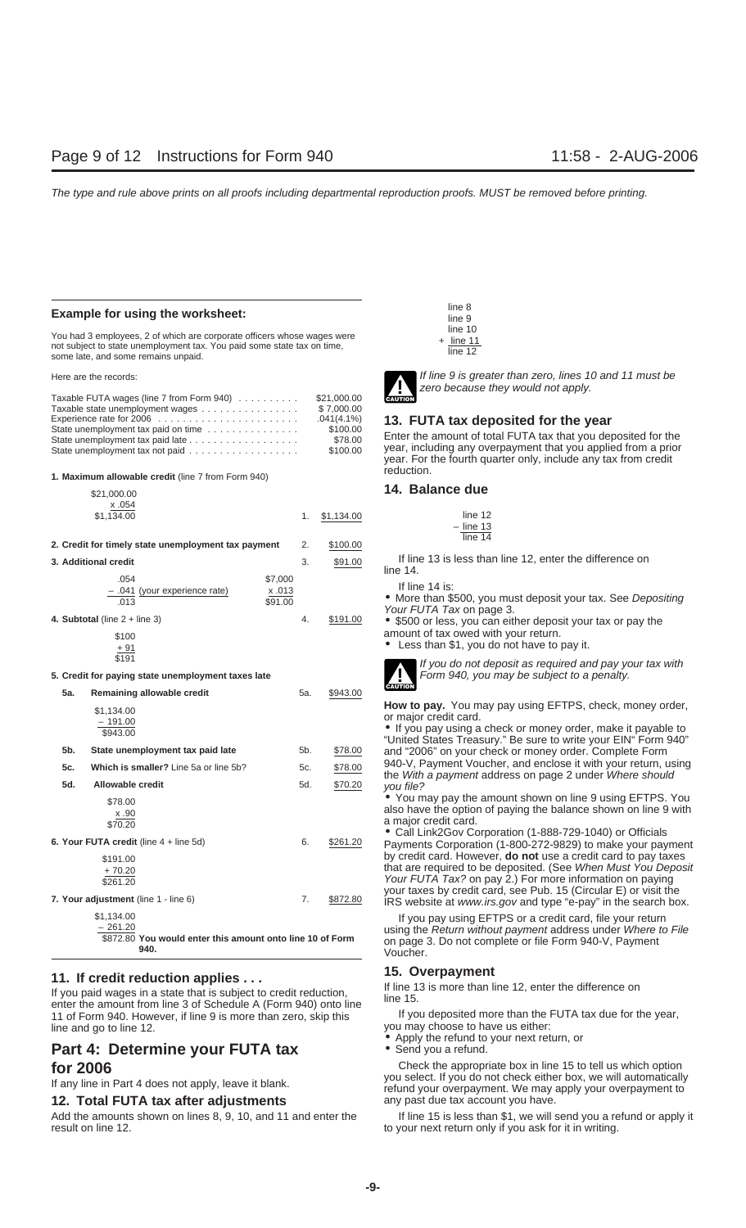### **Example for using the worksheet:**

line 10 You had 3 employees, 2 of which are corporate officers whose wages were<br>not subject to state unemployment tax. You paid some state tax on time,<br>some late, and some remains unpaid.<br> $\frac{1}{2}$  line 12

| 7 H J                         |
|-------------------------------|
| \$21,000.00<br><b>CAUTION</b> |
| \$7.000.00                    |
| $.041(4.1\%)$<br>13. F        |
| \$100.00                      |
| Enter 1<br>\$78.00            |
| year, i<br>\$100.00           |
|                               |

reduction. **1. Maximum allowable credit** (line 7 from Form 940)

|     | \$21,000.00                                                                                  |                                   |            | 14. Balance que                                                                                                                                                                                                                                                                                                                          |
|-----|----------------------------------------------------------------------------------------------|-----------------------------------|------------|------------------------------------------------------------------------------------------------------------------------------------------------------------------------------------------------------------------------------------------------------------------------------------------------------------------------------------------|
|     | x.054                                                                                        |                                   |            |                                                                                                                                                                                                                                                                                                                                          |
|     | \$1,134.00                                                                                   | 1.                                | \$1,134.00 | line 12<br>$-$ line 13                                                                                                                                                                                                                                                                                                                   |
|     |                                                                                              |                                   |            | line 14                                                                                                                                                                                                                                                                                                                                  |
|     | 2. Credit for timely state unemployment tax payment                                          | 2.                                | \$100.00   |                                                                                                                                                                                                                                                                                                                                          |
|     | 3. Additional credit                                                                         | 3.                                | \$91.00    | If line 13 is less than line 12, enter the difference on<br>line $14$ .                                                                                                                                                                                                                                                                  |
|     | .054<br>- .041 (your experience rate)<br>.013<br>4. Subtotal (line $2 +$ line 3)<br>\$100    | \$7,000<br>x.013<br>\$91.00<br>4. | \$191.00   | If line 14 is:<br>• More than \$500, you must deposit your tax. See Depositing<br>Your FUTA Tax on page 3.<br>• \$500 or less, you can either deposit your tax or pay the<br>amount of tax owed with your return.                                                                                                                        |
|     | $+91$                                                                                        |                                   |            | • Less than \$1, you do not have to pay it.                                                                                                                                                                                                                                                                                              |
|     | \$191                                                                                        |                                   |            |                                                                                                                                                                                                                                                                                                                                          |
|     | 5. Credit for paying state unemployment taxes late                                           |                                   |            | If you do not deposit as required and pay your tax with<br>Form 940, you may be subject to a penalty.<br>' !<br><b>CAUTION</b>                                                                                                                                                                                                           |
| 5а. | Remaining allowable credit                                                                   | 5a.                               | \$943.00   |                                                                                                                                                                                                                                                                                                                                          |
|     | \$1,134.00<br>$-191.00$<br>\$943.00                                                          |                                   |            | How to pay. You may pay using EFTPS, check, money order,<br>or major credit card.<br>. If you pay using a check or money order, make it payable to<br>"United States Treasury." Be sure to write your EIN" Form 940"                                                                                                                     |
| 5b. | State unemployment tax paid late                                                             | 5b.                               | \$78.00    | and "2006" on your check or money order. Complete Form                                                                                                                                                                                                                                                                                   |
| 5c. | Which is smaller? Line 5a or line 5b?                                                        | 5c.                               | \$78.00    | 940-V, Payment Voucher, and enclose it with your return, using<br>the With a payment address on page 2 under Where should                                                                                                                                                                                                                |
| 5d. | <b>Allowable credit</b>                                                                      | 5d.                               | \$70.20    | you file?                                                                                                                                                                                                                                                                                                                                |
|     | \$78.00<br>x.90<br>\$70.20                                                                   |                                   |            | • You may pay the amount shown on line 9 using EFTPS. You<br>also have the option of paying the balance shown on line 9 with<br>a major credit card.<br>• Call Link2Gov Corporation (1-888-729-1040) or Officials                                                                                                                        |
|     | 6. Your FUTA credit (line $4 +$ line $5d$ )                                                  | 6.                                | \$261.20   | Payments Corporation (1-800-272-9829) to make your payment                                                                                                                                                                                                                                                                               |
|     | \$191.00<br>$+70.20$<br>\$261.20<br>7. Your adjustment (line 1 - line 6)                     | 7.                                | \$872.80   | by credit card. However, <b>do not</b> use a credit card to pay taxes<br>that are required to be deposited. (See When Must You Deposit<br>Your FUTA Tax? on pay 2.) For more information on paying<br>your taxes by credit card, see Pub. 15 (Circular E) or visit the<br>IRS website at www.irs.gov and type "e-pay" in the search box. |
|     | \$1,134.00<br>$-261.20$<br>\$872.80 You would enter this amount onto line 10 of Form<br>0.40 |                                   |            | If you pay using EFTPS or a credit card, file your return<br>using the Return without payment address under Where to File<br>on page 3. Do not complete or file Form 940-V, Payment                                                                                                                                                      |

**11. If credit reduction applies ...**<br>
If you paid wages in a state that is subject to credit reduction,<br>
enter the amount from line 3 of Schedule A (Form 940) onto line<br>
11 of Form 940. However, if line 9 is more than zer 11 of Form 940. However, if line 9 is more than zero, skip this If you deposited more than the function and a tax due for the function and a tax due for than the function and choose to have us either: line and go to line 12. • line and go to line 12. • line and go to line 12. • Apply the refund to your next return, or

## **Part 4: Determine your FUTA tax** • Send you a refund.

### **12. Total FUTA tax after adjustments** any past due tax account you have.

Add the amounts shown on lines 8, 9, 10, and 11 and enter the If line 15 is less than \$1, we will send you a refund or apply it result on line 12.

| line 8  |  |
|---------|--|
| line 9  |  |
| line 10 |  |
| line 1  |  |
|         |  |



Here are the records: **If line 9 is greater than zero, lines 10 and 11 must be** zero because they would not apply.

**13. FUTA tax deposited for the year**<br>Enter the amount of total FUTA tax that you deposited for the year, including any overpayment that you applied from a prior year. For the fourth quarter only, include any tax from credit

### 14. Balance due

| າe 1    | ン |
|---------|---|
| line 13 |   |
| າe 1    |   |



If you pay using EFTPS or a credit card, file your return using the Return without payment address under Where to File \$872.80 **You would enter this amount onto line 10 of Form** on page 3. Do not complete or file Form 940-V, Payment **940.** Voucher.

**for 2006**<br>
Check the appropriate box in line 15 to tell us which option<br>
If any line in Part 4 does not apply, leave it blank.<br>
If any line in Part 4 does not apply, leave it blank.<br>
If any line in Part 4 does not apply,

to your next return only if you ask for it in writing.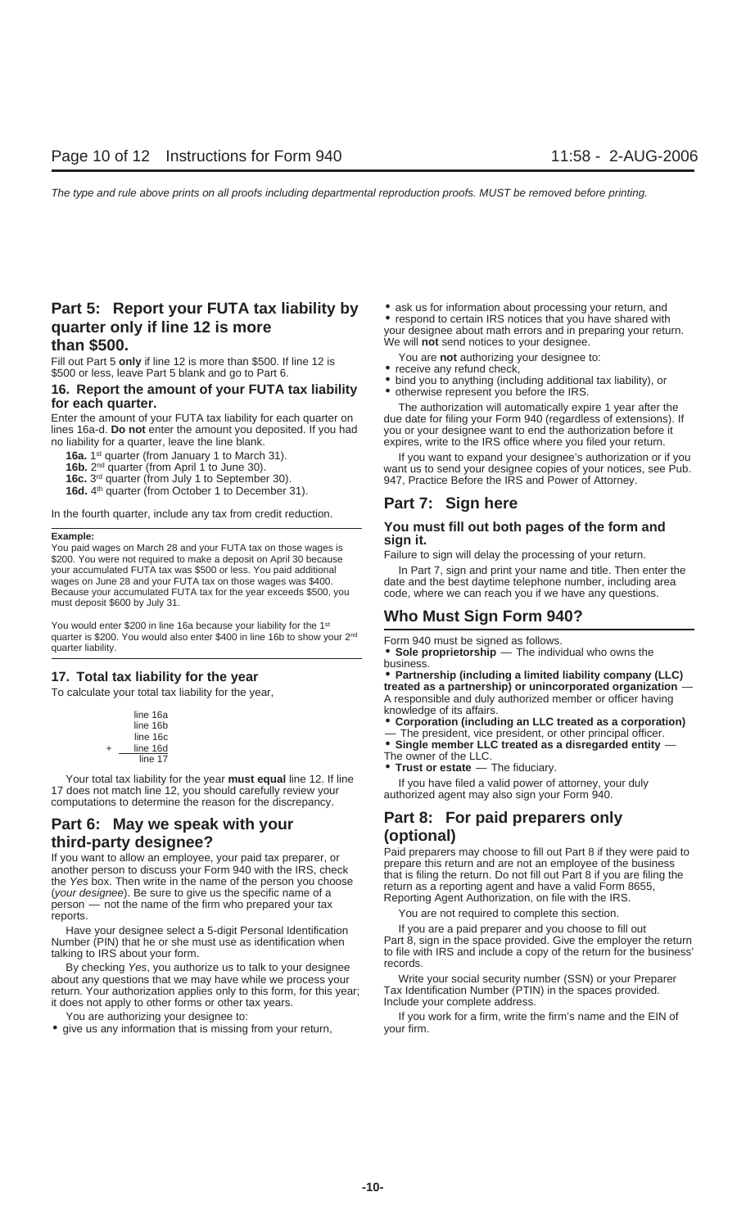## **Part 5: Report your FUTA tax liability by**  $\bullet$  **ask us for information about processing your return, and quarter only if line 12 is more** with your designee about math errors and in preparing your return. **than \$500.** We will **not** send notices to your designee.<br>Fill out Part 5 only if line 12 is more than \$500. If line 12 is **the Souting Nou are not** authorizing your designee to:

# Fill out Part 5 only if line 12 is wore than \$500. If line 12 is<br>
\$500 or less, leave Part 5 blank and go to Part 6.<br> **16. Report the amount of your FUTA tax liability**<br> **16. Report the amount of your FUTA tax liability**<br>

Enter the amount of your FUTA tax liability for each quarter on due date for filing your Form 940 (regardless of extensions). If lines 16a-d. Do not enter the amount you deposited. If you had you or your designee want to e no liability for a quarter, leave the line blank. expires, write to the IRS office where you filed your return.

- 
- 
- 
- 

**Part 7: Sign here** In the fourth quarter, include any tax from credit reduction.

Because your accumulated FUTA tax for the year exceeds \$500, you code, where we can reach you if we have any questions.<br>must deposit \$600 by July 31.

You would enter \$200 in line 16a because your liability for the 1<sup>st</sup> **Who Must Sign Form 940?** quarter is \$200. You would also enter \$400 in line 16b to show your 2<sup>nd</sup> Form 940 must be signed as follows.<br>
• **Sole proprietorship** — The individual who owns the

Ine owner or the LLC.<br>• **Trust or estate** — The fiduciary.<br>If you have filed a valid nower of the the sear **must equal** line 12. If line Four total tax liability for the year **must equal** line 12. If line<br>17 does not match line 12, you should carefully review your<br>computations to determine the reason for the discrepancy.

**Part 6:** May we speak with your<br> **third-party designee?**<br>
If you want to allow an employee, your paid tax preparer, or<br>
If you want to allow an employee, your paid tax preparer, or<br>
another person to discuss your Form 940

Have your designee select a 5-digit Personal Identification If you are a paid preparer and you choose to fill out

about any questions that we may have while we process your Write your social security number (SSN) or your Prepa<br>Tax Identification of the spaces provided.<br>Tax Identification Number (PTIN) in the spaces provided. return. Your authorization applies only to this form, for this year; Tax Identification Number (PTIN<br>it does not apply to other forms or other tax years. it does not apply to other forms or other tax years.

• give us any information that is missing from your return, your firm.

- 
- 
- 
- 

**for each quarter.**<br>Enter the amount of your FUTA tax liability for each quarter on due date for filing your Form 940 (regardless of extensions). you or your designee want to end the authorization before it

**16a.** 1<sup>st</sup> quarter (from January 1 to March 31). If you want to expand your designee's authorization or if you **16b.** 2<sup>nd</sup> quarter (from April 1 to June 30). Want us to send your designee copies of your notices, see Pub

# Example:<br>
You must fill out both pages of the form and<br>
You paid wages on March 28 and your FUTA tax on those wages is<br>
\$200. You were not required to make a deposit on April 30 because Failure to sign will delay the proce

your accumulated FUTA tax was \$500 or less. You paid additional In Part 7, sign and print your name and title. Then enter the<br>wages on June 28 and your FUTA tax on those wages was \$400. date and the best daytime telephone

business.

**17. Total tax liability for the year** • **Partnership (including a limited liability company (LLC)** To calculate your total tax liability for the year, **tracted as a partnership) or unincorporated organization** distribution of the search of the search of the search of the search of the search of the search of the search A responsible and duly authorized member or officer having

line 16a **including an LLC treated as a corporation)**<br>line 16b **• Corporation (including an LLC treated as a corporation)**<br>line 16c **including an LC** treated as a corporation)

+ line 16d • **Single member LLC treated as a disregarded entity** —

Number (PIN) that he or she must use as identification when Part 8, sign in the space provided. Give the employer the return talking to IRS about your form.<br>By checking Yes, you authorize us to talk to your designee<br>about any questions that we may have while we process your Write your social security number (SSN) or your Preparer

You are authorizing your designee to: If you work for a firm, write the firm's name and the EIN of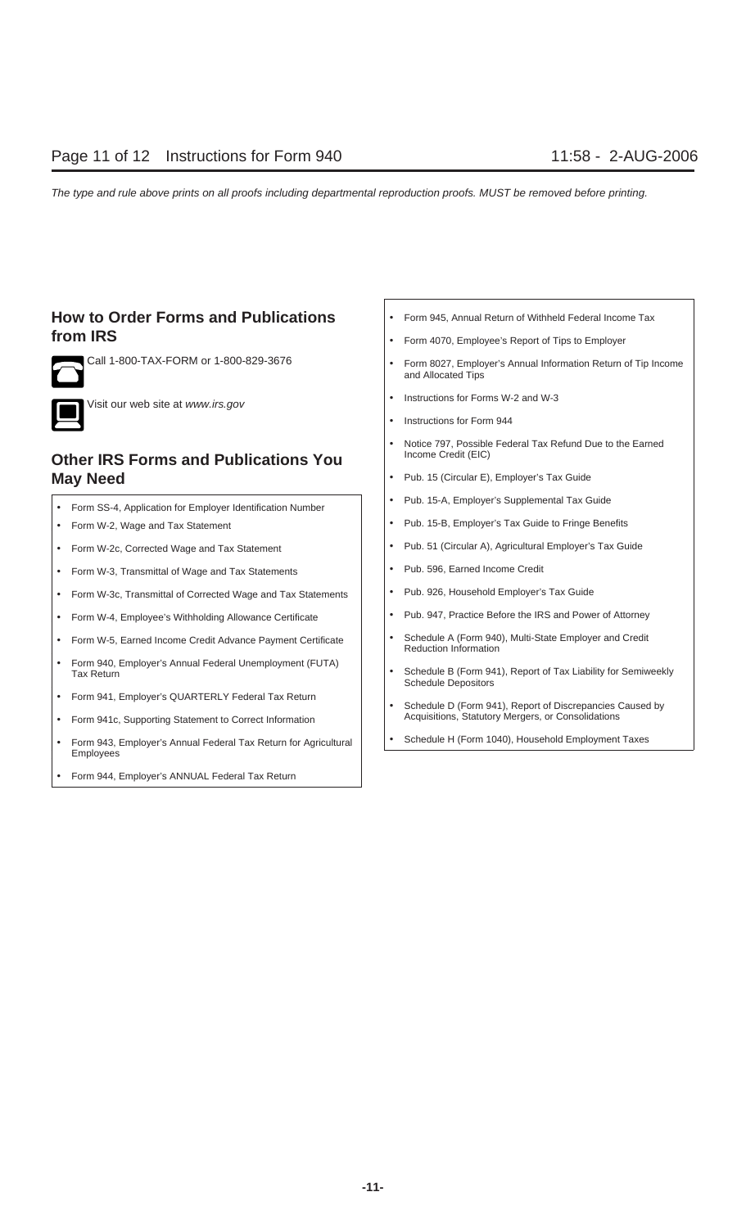## **How to Order Forms and Publications**  $\cdot$  **Form 945, Annual Return of Withheld Federal Income Tax from IRS** • Form 4070, Employee's Report of Tips to Employer





• Instructions for Forms W-2 and W-3 Visit our web site at www.irs.gov

## **Other IRS Forms and Publications You May Need** • Pub. 15 (Circular E), Employer's Tax Guide

- Form SS-4, Application for Employer Identification Number | | | | | Pub. 15-A, Employer's Supplemental Tax Guide
- 
- 
- Form W-3, Transmittal of Wage and Tax Statements Pub. 596, Earned Income Credit
- Form W-3c, Transmittal of Corrected Wage and Tax Statements | | Pub. 926, Household Employer's Tax Guide
- Form W-4, Employee's Withholding Allowance Certificate | | | Pub. 947, Practice Before the IRS and Power of Attorney
- Form W-5, Earned Income Credit Advance Payment Certificate | | | Schedule A (Form 940), Multi-State Employer and Credit
- Form 940, Employer's Annual Federal Unemployment (FUTA)
- 
- Form 941c, Supporting Statement to Correct Information
- Form 943, Employer's Annual Federal Tax Return for Agricultural | | Schedule H (Form 1040), Household Employment Taxes Employees
- Form 944, Employer's ANNUAL Federal Tax Return
- 
- 
- Call 1-800-TAX-FORM or 1-800-829-3676 Form 8027, Employer's Annual Information Return of Tip Income and Allocated Tips
	-
	- Instructions for Form 944
	- Notice 797, Possible Federal Tax Refund Due to the Earned Income Credit (EIC)
	-
	-
- Form W-2, Wage and Tax Statement  **Pub. 15-B, Employer's Tax Guide to Fringe Benefits**
- Form W-2c, Corrected Wage and Tax Statement | | | | Pub. 51 (Circular A), Agricultural Employer's Tax Guide
	-
	-
	-
	- Reduction Information
	- Tax Return Schedule B (Form 941), Report of Tax Liability for Semiweekly<br>Tax Return Schedule Depositors
- Form 941, Employer's QUARTERLY Federal Tax Return  **Construction Construction** Federal Tax Return Schedule D (Form 941), Report of Discrepancies Caused by<br>• Form 941c Supporting Statement to Correct Information
	-